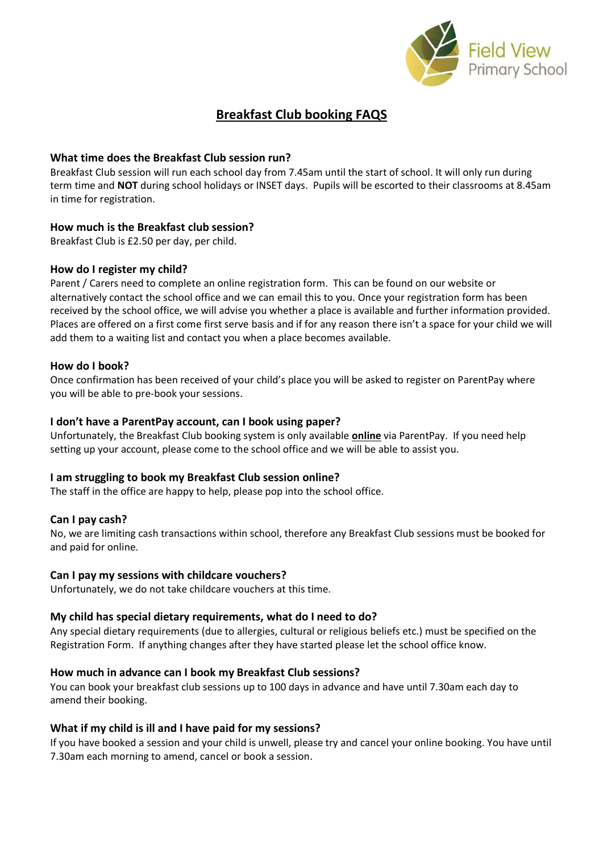

# **Breakfast Club booking FAQS**

## **What time does the Breakfast Club session run?**

Breakfast Club session will run each school day from 7.45am until the start of school. It will only run during term time and **NOT** during school holidays or INSET days. Pupils will be escorted to their classrooms at 8.45am in time for registration.

## **How much is the Breakfast club session?**

Breakfast Club is £2.50 per day, per child.

## **How do I register my child?**

Parent / Carers need to complete an online registration form. This can be found on our website or alternatively contact the school office and we can email this to you. Once your registration form has been received by the school office, we will advise you whether a place is available and further information provided. Places are offered on a first come first serve basis and if for any reason there isn't a space for your child we will add them to a waiting list and contact you when a place becomes available.

## **How do I book?**

Once confirmation has been received of your child's place you will be asked to register on ParentPay where you will be able to pre-book your sessions.

## **I don't have a ParentPay account, can I book using paper?**

Unfortunately, the Breakfast Club booking system is only available **online** via ParentPay. If you need help setting up your account, please come to the school office and we will be able to assist you.

# **I am struggling to book my Breakfast Club session online?**

The staff in the office are happy to help, please pop into the school office.

## **Can I pay cash?**

No, we are limiting cash transactions within school, therefore any Breakfast Club sessions must be booked for and paid for online.

## **Can I pay my sessions with childcare vouchers?**

Unfortunately, we do not take childcare vouchers at this time.

## **My child has special dietary requirements, what do I need to do?**

Any special dietary requirements (due to allergies, cultural or religious beliefs etc.) must be specified on the Registration Form. If anything changes after they have started please let the school office know.

## **How much in advance can I book my Breakfast Club sessions?**

You can book your breakfast club sessions up to 100 days in advance and have until 7.30am each day to amend their booking.

## **What if my child is ill and I have paid for my sessions?**

If you have booked a session and your child is unwell, please try and cancel your online booking. You have until 7.30am each morning to amend, cancel or book a session.